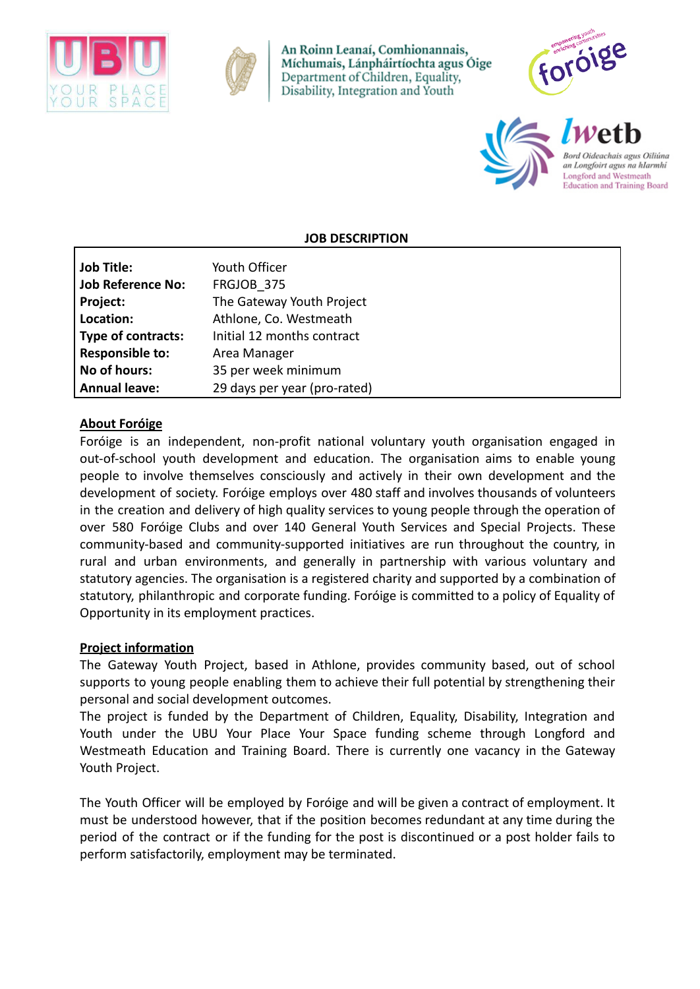



An Roinn Leanaí, Comhionannais, Míchumais, Lánpháirtíochta agus Óige Department of Children, Equality, Disability, Integration and Youth



Oideachais agus Oiliúna an Longfoirt agus na hIarmhi Longford and Westmeath **Education and Training Board** 

#### **JOB DESCRIPTION**

| <b>Job Title:</b>         | Youth Officer                |
|---------------------------|------------------------------|
| <b>Job Reference No:</b>  | FRGJOB 375                   |
| Project:                  | The Gateway Youth Project    |
| Location:                 | Athlone, Co. Westmeath       |
| <b>Type of contracts:</b> | Initial 12 months contract   |
| <b>Responsible to:</b>    | Area Manager                 |
| No of hours:              | 35 per week minimum          |
| <b>Annual leave:</b>      | 29 days per year (pro-rated) |

### **About Foróige**

Foróige is an independent, non-profit national voluntary youth organisation engaged in out-of-school youth development and education. The organisation aims to enable young people to involve themselves consciously and actively in their own development and the development of society. Foróige employs over 480 staff and involves thousands of volunteers in the creation and delivery of high quality services to young people through the operation of over 580 Foróige Clubs and over 140 General Youth Services and Special Projects. These community-based and community-supported initiatives are run throughout the country, in rural and urban environments, and generally in partnership with various voluntary and statutory agencies. The organisation is a registered charity and supported by a combination of statutory, philanthropic and corporate funding. Foróige is committed to a policy of Equality of Opportunity in its employment practices.

### **Project information**

The Gateway Youth Project, based in Athlone, provides community based, out of school supports to young people enabling them to achieve their full potential by strengthening their personal and social development outcomes.

The project is funded by the Department of Children, Equality, Disability, Integration and Youth under the UBU Your Place Your Space funding scheme through Longford and Westmeath Education and Training Board. There is currently one vacancy in the Gateway Youth Project.

The Youth Officer will be employed by Foróige and will be given a contract of employment. It must be understood however, that if the position becomes redundant at any time during the period of the contract or if the funding for the post is discontinued or a post holder fails to perform satisfactorily, employment may be terminated.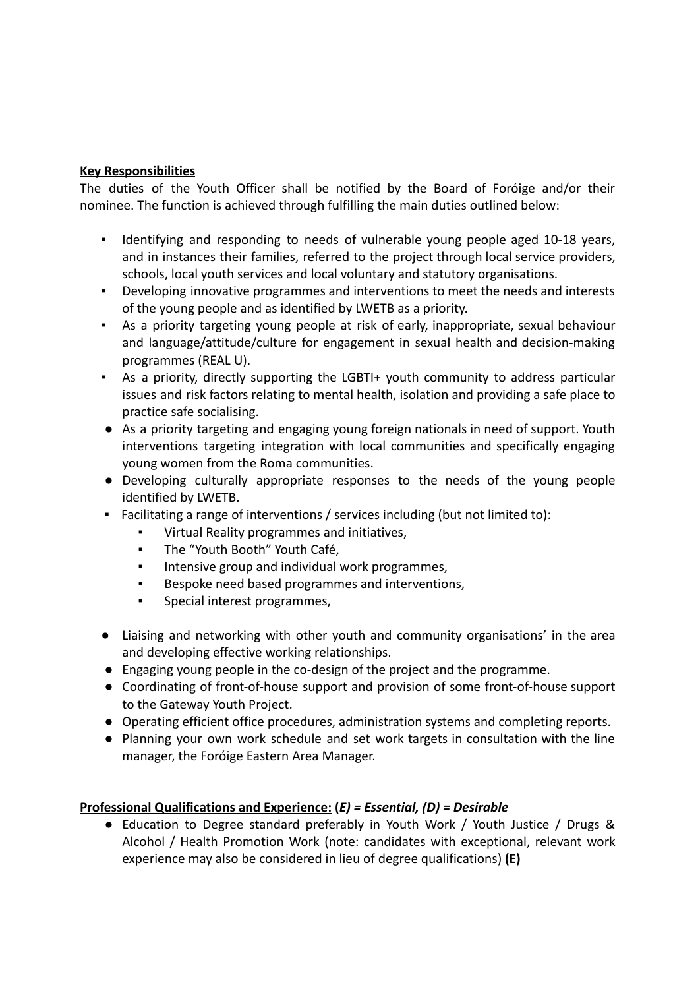# **Key Responsibilities**

The duties of the Youth Officer shall be notified by the Board of Foróige and/or their nominee. The function is achieved through fulfilling the main duties outlined below:

- Identifying and responding to needs of vulnerable young people aged 10-18 years, and in instances their families, referred to the project through local service providers, schools, local youth services and local voluntary and statutory organisations.
- Developing innovative programmes and interventions to meet the needs and interests of the young people and as identified by LWETB as a priority.
- As a priority targeting young people at risk of early, inappropriate, sexual behaviour and language/attitude/culture for engagement in sexual health and decision-making programmes (REAL U).
- As a priority, directly supporting the LGBTI+ youth community to address particular issues and risk factors relating to mental health, isolation and providing a safe place to practice safe socialising.
- As a priority targeting and engaging young foreign nationals in need of support. Youth interventions targeting integration with local communities and specifically engaging young women from the Roma communities.
- Developing culturally appropriate responses to the needs of the young people identified by LWETB.
- Facilitating a range of interventions / services including (but not limited to):
	- Virtual Reality programmes and initiatives,
	- The "Youth Booth" Youth Café,
	- Intensive group and individual work programmes,
	- Bespoke need based programmes and interventions,
	- Special interest programmes,
- Liaising and networking with other youth and community organisations' in the area and developing effective working relationships.
- Engaging young people in the co-design of the project and the programme.
- Coordinating of front-of-house support and provision of some front-of-house support to the Gateway Youth Project.
- Operating efficient office procedures, administration systems and completing reports.
- Planning your own work schedule and set work targets in consultation with the line manager, the Foróige Eastern Area Manager.

# **Professional Qualifications and Experience: (***E) = Essential, (D) = Desirable*

● Education to Degree standard preferably in Youth Work / Youth Justice / Drugs & Alcohol / Health Promotion Work (note: candidates with exceptional, relevant work experience may also be considered in lieu of degree qualifications) **(E)**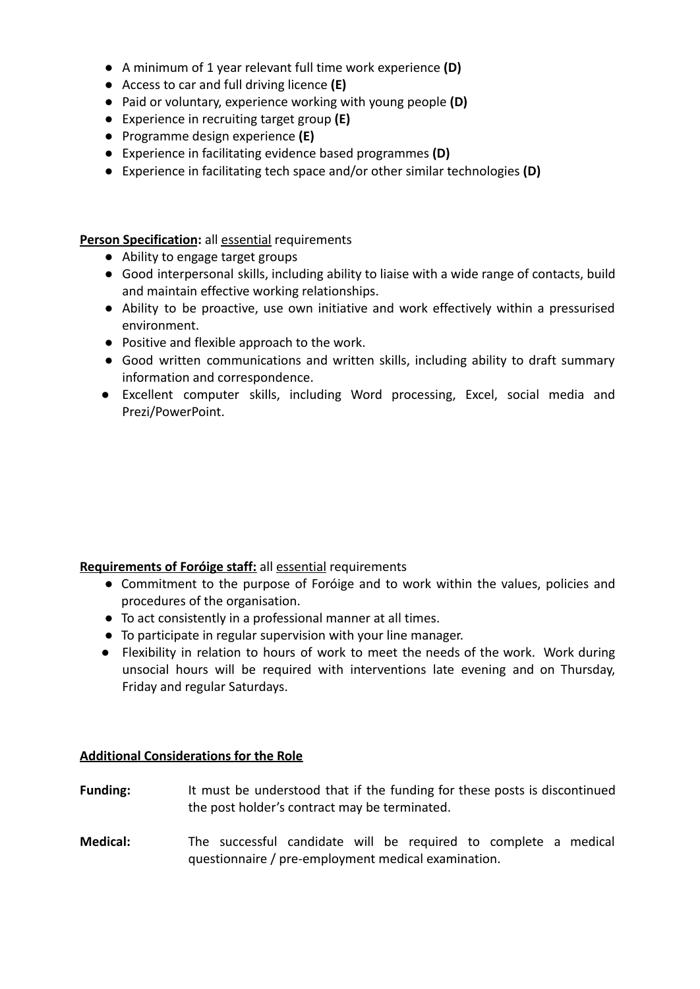- A minimum of 1 year relevant full time work experience **(D)**
- Access to car and full driving licence **(E)**
- Paid or voluntary, experience working with young people **(D)**
- Experience in recruiting target group **(E)**
- Programme design experience **(E)**
- Experience in facilitating evidence based programmes **(D)**
- Experience in facilitating tech space and/or other similar technologies **(D)**

**Person Specification:** all essential requirements

- Ability to engage target groups
- Good interpersonal skills, including ability to liaise with a wide range of contacts, build and maintain effective working relationships.
- Ability to be proactive, use own initiative and work effectively within a pressurised environment.
- Positive and flexible approach to the work.
- Good written communications and written skills, including ability to draft summary information and correspondence.
- Excellent computer skills, including Word processing, Excel, social media and Prezi/PowerPoint.

# **Requirements of Foróige staff:** all essential requirements

- Commitment to the purpose of Foróige and to work within the values, policies and procedures of the organisation.
- To act consistently in a professional manner at all times.
- To participate in regular supervision with your line manager.
- Flexibility in relation to hours of work to meet the needs of the work. Work during unsocial hours will be required with interventions late evening and on Thursday, Friday and regular Saturdays.

# **Additional Considerations for the Role**

- **Funding:** It must be understood that if the funding for these posts is discontinued the post holder's contract may be terminated.
- **Medical:** The successful candidate will be required to complete a medical questionnaire / pre-employment medical examination.